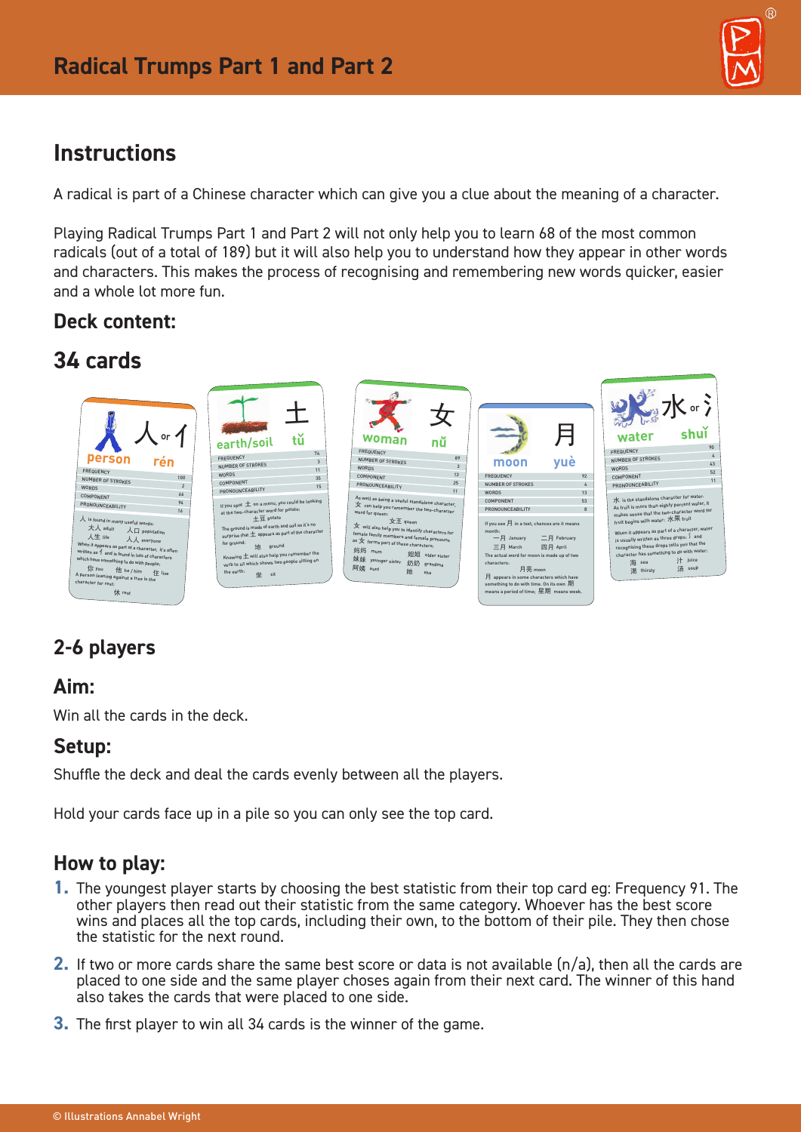

# **Instructions**

A radical is part of a Chinese character which can give you a clue about the meaning of a character.

Playing Radical Trumps Part 1 and Part 2 will not only help you to learn 68 of the most common radicals (out of a total of 189) but it will also help you to understand how they appear in other words and characters. This makes the process of recognising and remembering new words quicker, easier and a whole lot more fun.

## **Deck content:**

# **34 cards**



# **2-6 players**

### **Aim:**

Win all the cards in the deck

### **Setup:**

Shuffle the deck and deal the cards evenly between all the players.

Hold your cards face up in a pile so you can only see the top card.

## **How to play:**

- **1.** The youngest player starts by choosing the best statistic from their top card eg: Frequency 91. The other players then read out their statistic from the same category. Whoever has the best score wins and places all the top cards, including their own, to the bottom of their pile. They then chose the statistic for the next round.
- **2.** If two or more cards share the same best score or data is not available (n/a), then all the cards are placed to one side and the same player choses again from their next card. The winner of this hand also takes the cards that were placed to one side.
- **3.** The first player to win all 34 cards is the winner of the game.